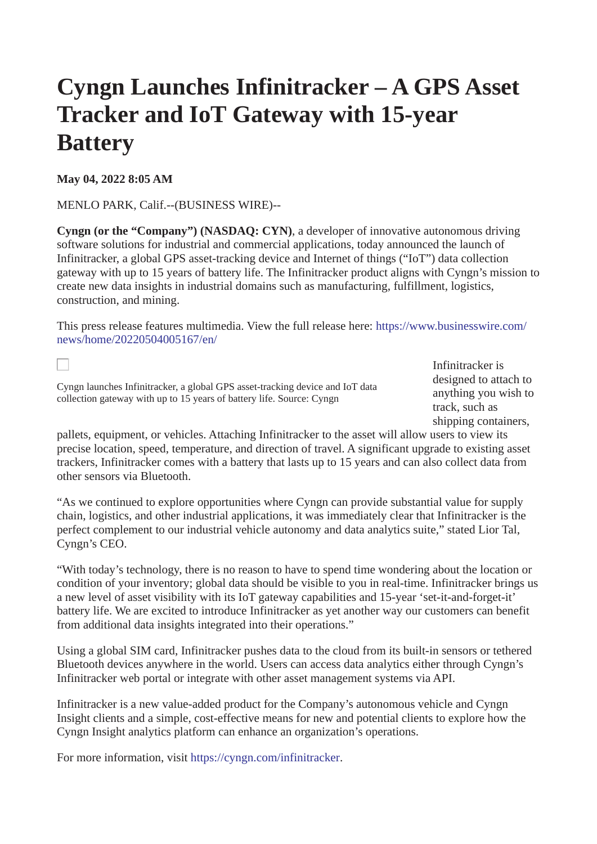## **Cyngn Launches Infinitracker – A GPS Asset Tracker and IoT Gateway with 15-year Battery**

**May 04, 2022 8:05 AM**

П

MENLO PARK, Calif.--(BUSINESS WIRE)--

**Cyngn (or the "Company") (NASDAQ: CYN)**, a developer of innovative autonomous driving software solutions for industrial and commercial applications, today announced the launch of Infinitracker, a global GPS asset-tracking device and Internet of things ("IoT") data collection gateway with up to 15 years of battery life. The Infinitracker product aligns with Cyngn's mission to create new data insights in industrial domains such as manufacturing, fulfillment, logistics, construction, and mining.

[This press release features multimedia. View the full release here: https://www.businesswire.com/](https://www.businesswire.com/news/home/20220504005167/en/) news/home/20220504005167/en/

Cyngn launches Infinitracker, a global GPS asset-tracking device and IoT data collection gateway with up to 15 years of battery life. Source: Cyngn

Infinitracker is designed to attach to anything you wish to track, such as shipping containers,

pallets, equipment, or vehicles. Attaching Infinitracker to the asset will allow users to view its precise location, speed, temperature, and direction of travel. A significant upgrade to existing asset trackers, Infinitracker comes with a battery that lasts up to 15 years and can also collect data from other sensors via Bluetooth.

"As we continued to explore opportunities where Cyngn can provide substantial value for supply chain, logistics, and other industrial applications, it was immediately clear that Infinitracker is the perfect complement to our industrial vehicle autonomy and data analytics suite," stated Lior Tal, Cyngn's CEO.

"With today's technology, there is no reason to have to spend time wondering about the location or condition of your inventory; global data should be visible to you in real-time. Infinitracker brings us a new level of asset visibility with its IoT gateway capabilities and 15-year 'set-it-and-forget-it' battery life. We are excited to introduce Infinitracker as yet another way our customers can benefit from additional data insights integrated into their operations."

Using a global SIM card, Infinitracker pushes data to the cloud from its built-in sensors or tethered Bluetooth devices anywhere in the world. Users can access data analytics either through Cyngn's Infinitracker web portal or integrate with other asset management systems via API.

Infinitracker is a new value-added product for the Company's autonomous vehicle and Cyngn Insight clients and a simple, cost-effective means for new and potential clients to explore how the Cyngn Insight analytics platform can enhance an organization's operations.

For more information, visit [https://cyngn.com/infinitracker](https://cts.businesswire.com/ct/CT?id=smartlink&url=https%3A%2F%2Fcyngn.com%2Finfinitracker&esheet=52706905&newsitemid=20220504005167&lan=en-US&anchor=https%3A%2F%2Fcyngn.com%2Finfinitracker&index=1&md5=4632e208d7d1f93176652aa18addfcd8).